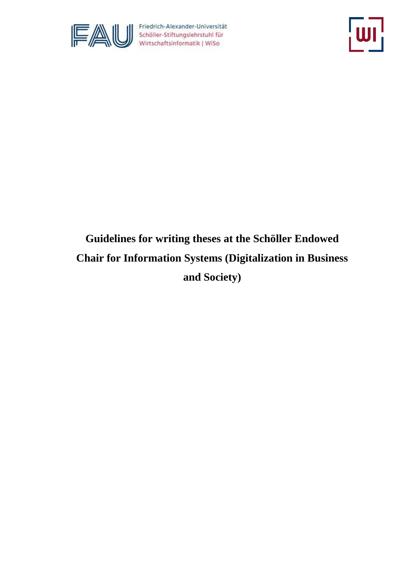

Friedrich-Alexander-Universität<br>Schöller-Stiftungslehrstuhl für<br>Wirtschaftsinformatik | WiSo



# **Guidelines for writing theses at the Schöller Endowed Chair for Information Systems (Digitalization in Business and Society)**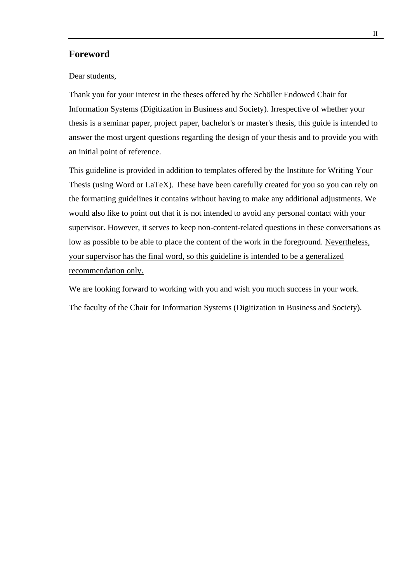#### <span id="page-1-0"></span>**Foreword**

Dear students,

Thank you for your interest in the theses offered by the Schöller Endowed Chair for Information Systems (Digitization in Business and Society). Irrespective of whether your thesis is a seminar paper, project paper, bachelor's or master's thesis, this guide is intended to answer the most urgent questions regarding the design of your thesis and to provide you with an initial point of reference.

This guideline is provided in addition to templates offered by the Institute for Writing Your Thesis (using Word or LaTeX). These have been carefully created for you so you can rely on the formatting guidelines it contains without having to make any additional adjustments. We would also like to point out that it is not intended to avoid any personal contact with your supervisor. However, it serves to keep non-content-related questions in these conversations as low as possible to be able to place the content of the work in the foreground. Nevertheless, your supervisor has the final word, so this guideline is intended to be a generalized recommendation only.

We are looking forward to working with you and wish you much success in your work.

The faculty of the Chair for Information Systems (Digitization in Business and Society).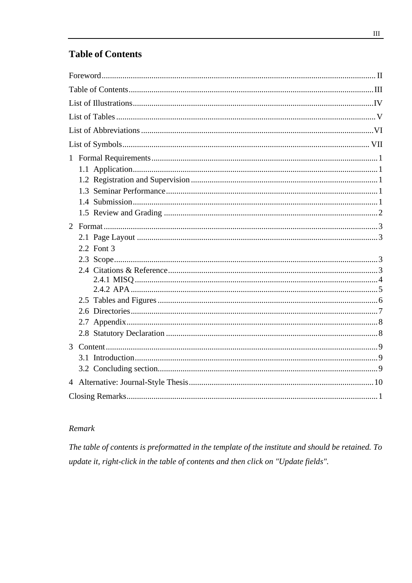# <span id="page-2-0"></span>**Table of Contents**

| 2.2 Font 3<br>3 |  |  |
|-----------------|--|--|
|                 |  |  |
|                 |  |  |
|                 |  |  |
|                 |  |  |
|                 |  |  |
|                 |  |  |
|                 |  |  |
|                 |  |  |
|                 |  |  |
|                 |  |  |
|                 |  |  |
|                 |  |  |
|                 |  |  |
|                 |  |  |
|                 |  |  |
|                 |  |  |
|                 |  |  |
|                 |  |  |
|                 |  |  |
|                 |  |  |
|                 |  |  |
|                 |  |  |
|                 |  |  |
|                 |  |  |
|                 |  |  |
|                 |  |  |
|                 |  |  |

# Remark

The table of contents is preformatted in the template of the institute and should be retained. To update it, right-click in the table of contents and then click on "Update fields".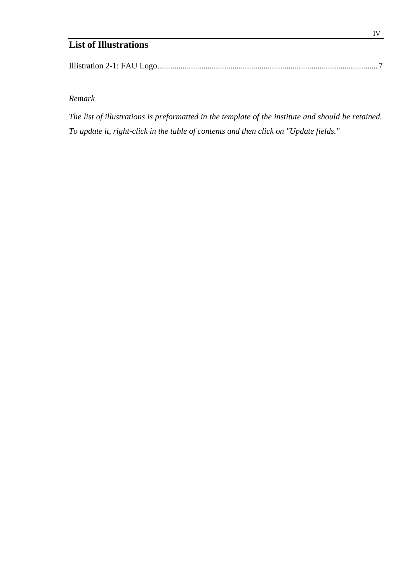# **List of Illustrations**

|--|

# *Remark*

*The list of illustrations is preformatted in the template of the institute and should be retained. To update it, right-click in the table of contents and then click on "Update fields."*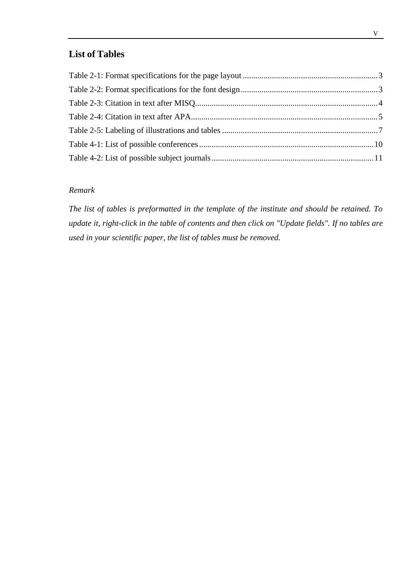# <span id="page-4-0"></span>**List of Tables**

# *Remark*

*The list of tables is preformatted in the template of the institute and should be retained. To update it, right-click in the table of contents and then click on "Update fields". If no tables are used in your scientific paper, the list of tables must be removed.*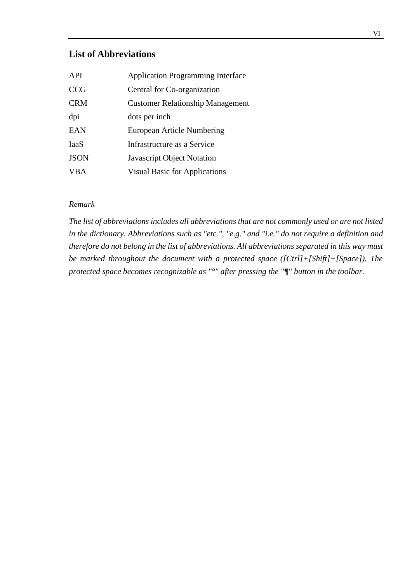# <span id="page-5-0"></span>**List of Abbreviations**

| API         | <b>Application Programming Interface</b> |
|-------------|------------------------------------------|
| <b>CCG</b>  | Central for Co-organization              |
| <b>CRM</b>  | <b>Customer Relationship Management</b>  |
| dpi         | dots per inch                            |
| <b>EAN</b>  | <b>European Article Numbering</b>        |
| <b>IaaS</b> | Infrastructure as a Service              |
| <b>JSON</b> | Javascript Object Notation               |
| VBA         | <b>Visual Basic for Applications</b>     |

#### *Remark*

*The list of abbreviations includes all abbreviations that are not commonly used or are not listed in the dictionary. Abbreviations such as "etc.", "e.g." and "i.e." do not require a definition and therefore do not belong in the list of abbreviations. All abbreviations separated in this way must be marked throughout the document with a protected space ([Ctrl]+[Shift]+[Space]). The protected space becomes recognizable as "°" after pressing the "¶" button in the toolbar.*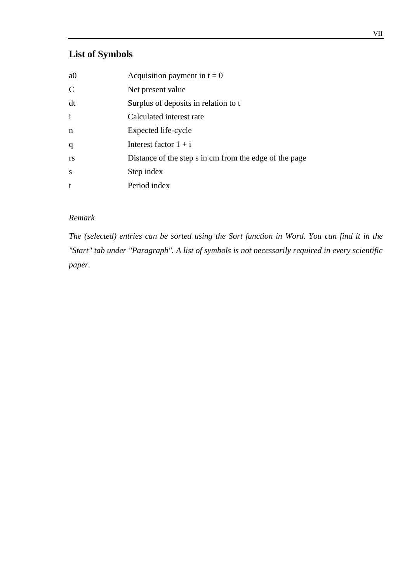# <span id="page-6-0"></span>**List of Symbols**

| a <sub>0</sub> | Acquisition payment in $t = 0$                         |
|----------------|--------------------------------------------------------|
| $\mathbf C$    | Net present value                                      |
| dt             | Surplus of deposits in relation to t                   |
| $\mathbf{i}$   | Calculated interest rate                               |
| n              | Expected life-cycle                                    |
| q              | Interest factor $1 + i$                                |
| rs             | Distance of the step s in cm from the edge of the page |
| <sub>S</sub>   | Step index                                             |
| t              | Period index                                           |

# *Remark*

*The (selected) entries can be sorted using the Sort function in Word. You can find it in the "Start" tab under "Paragraph". A list of symbols is not necessarily required in every scientific paper.*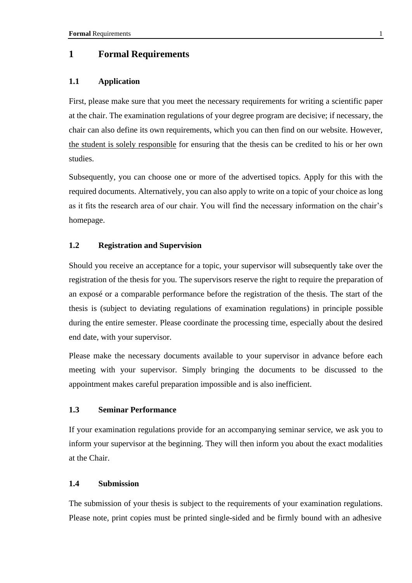# <span id="page-7-0"></span>**1 Formal Requirements**

#### <span id="page-7-1"></span>**1.1 Application**

First, please make sure that you meet the necessary requirements for writing a scientific paper at the chair. The examination regulations of your degree program are decisive; if necessary, the chair can also define its own requirements, which you can then find on our website. However, the student is solely responsible for ensuring that the thesis can be credited to his or her own studies.

Subsequently, you can choose one or more of the advertised topics. Apply for this with the required documents. Alternatively, you can also apply to write on a topic of your choice as long as it fits the research area of our chair. You will find the necessary information on the chair's homepage.

#### <span id="page-7-2"></span>**1.2 Registration and Supervision**

Should you receive an acceptance for a topic, your supervisor will subsequently take over the registration of the thesis for you. The supervisors reserve the right to require the preparation of an exposé or a comparable performance before the registration of the thesis. The start of the thesis is (subject to deviating regulations of examination regulations) in principle possible during the entire semester. Please coordinate the processing time, especially about the desired end date, with your supervisor.

Please make the necessary documents available to your supervisor in advance before each meeting with your supervisor. Simply bringing the documents to be discussed to the appointment makes careful preparation impossible and is also inefficient.

#### <span id="page-7-3"></span>**1.3 Seminar Performance**

If your examination regulations provide for an accompanying seminar service, we ask you to inform your supervisor at the beginning. They will then inform you about the exact modalities at the Chair.

#### <span id="page-7-4"></span>**1.4 Submission**

The submission of your thesis is subject to the requirements of your examination regulations. Please note, print copies must be printed single-sided and be firmly bound with an adhesive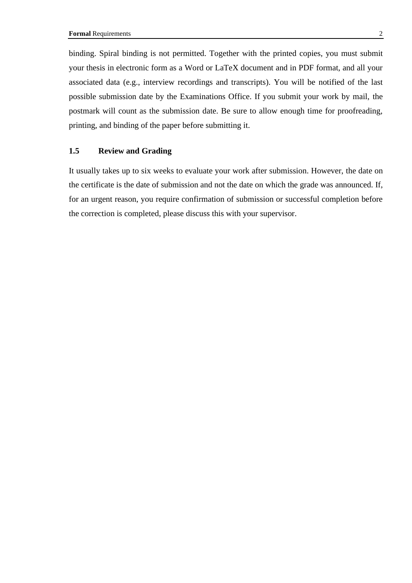binding. Spiral binding is not permitted. Together with the printed copies, you must submit your thesis in electronic form as a Word or LaTeX document and in PDF format, and all your associated data (e.g., interview recordings and transcripts). You will be notified of the last possible submission date by the Examinations Office. If you submit your work by mail, the postmark will count as the submission date. Be sure to allow enough time for proofreading, printing, and binding of the paper before submitting it.

#### <span id="page-8-0"></span>**1.5 Review and Grading**

It usually takes up to six weeks to evaluate your work after submission. However, the date on the certificate is the date of submission and not the date on which the grade was announced. If, for an urgent reason, you require confirmation of submission or successful completion before the correction is completed, please discuss this with your supervisor.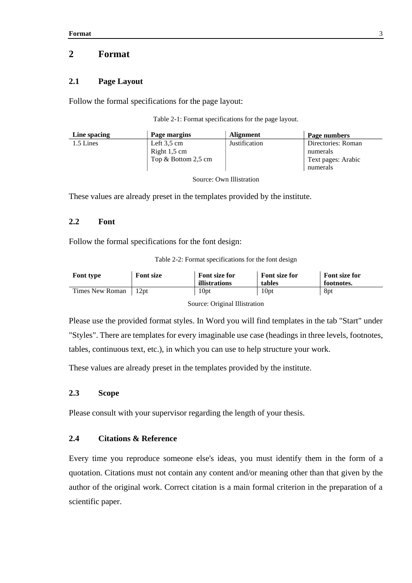# <span id="page-9-0"></span>**2 Format**

### <span id="page-9-1"></span>**2.1 Page Layout**

Follow the formal specifications for the page layout:

Table 2-1: Format specifications for the page layout.

| Line spacing | Page margins          | <b>Alignment</b>     | Page numbers       |
|--------------|-----------------------|----------------------|--------------------|
| 1.5 Lines    | Left $3.5 \text{ cm}$ | <b>Justification</b> | Directories: Roman |
|              | Right $1,5$ cm        |                      | numerals           |
|              | Top $&$ Bottom 2,5 cm |                      | Text pages: Arabic |
|              |                       |                      | numerals           |

Source: Own Illistration

These values are already preset in the templates provided by the institute.

#### **2.2 Font**

Follow the formal specifications for the font design:

Table 2-2: Format specifications for the font design

| Font type       | <b>Font size</b> | Font size for                 | Font size for | Font size for |
|-----------------|------------------|-------------------------------|---------------|---------------|
|                 |                  | <i>illistrations</i>          | tables        | footnotes.    |
| Times New Roman | 12pt             | 10 <sub>pt</sub>              | 10pt          | 8pt           |
|                 |                  | Source: Original Illistration |               |               |

Please use the provided format styles. In Word you will find templates in the tab "Start" under "Styles". There are templates for every imaginable use case (headings in three levels, footnotes, tables, continuous text, etc.), in which you can use to help structure your work.

These values are already preset in the templates provided by the institute.

#### <span id="page-9-2"></span>**2.3 Scope**

Please consult with your supervisor regarding the length of your thesis.

#### <span id="page-9-3"></span>**2.4 Citations & Reference**

Every time you reproduce someone else's ideas, you must identify them in the form of a quotation. Citations must not contain any content and/or meaning other than that given by the author of the original work. Correct citation is a main formal criterion in the preparation of a scientific paper.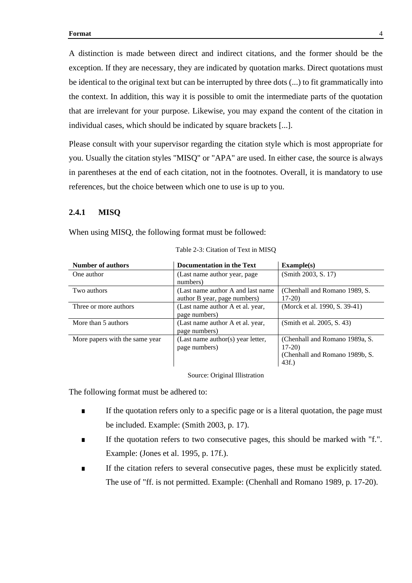A distinction is made between direct and indirect citations, and the former should be the exception. If they are necessary, they are indicated by quotation marks. Direct quotations must be identical to the original text but can be interrupted by three dots (...) to fit grammatically into the context. In addition, this way it is possible to omit the intermediate parts of the quotation that are irrelevant for your purpose. Likewise, you may expand the content of the citation in individual cases, which should be indicated by square brackets [...].

Please consult with your supervisor regarding the citation style which is most appropriate for you. Usually the citation styles "MISQ" or "APA" are used. In either case, the source is always in parentheses at the end of each citation, not in the footnotes. Overall, it is mandatory to use references, but the choice between which one to use is up to you.

#### <span id="page-10-0"></span>**2.4.1 MISQ**

When using MISQ, the following format must be followed:

| <b>Number of authors</b>       | <b>Documentation in the Text</b>   | Example(s)                     |
|--------------------------------|------------------------------------|--------------------------------|
| One author                     | (Last name author year, page)      | (Smith 2003, S. 17)            |
|                                | numbers)                           |                                |
| Two authors                    | (Last name author A and last name) | (Chenhall and Romano 1989, S.  |
|                                | author B year, page numbers)       | $17-20$                        |
| Three or more authors          | (Last name author A et al. year,   | (Morck et al. 1990, S. 39-41)  |
|                                | page numbers)                      |                                |
| More than 5 authors            | (Last name author A et al. year,   | (Smith et al. 2005, S. 43)     |
|                                | page numbers)                      |                                |
| More papers with the same year | (Last name author(s) year letter,  | (Chenhall and Romano 1989a, S. |
|                                | page numbers)                      | $17-20$                        |
|                                |                                    | (Chenhall and Romano 1989b, S. |
|                                |                                    | 43f.                           |

Table 2-3: Citation of Text in MISQ

Source: Original Illistration

The following format must be adhered to:

- If the quotation refers only to a specific page or is a literal quotation, the page must be included. Example: (Smith 2003, p. 17).
- If the quotation refers to two consecutive pages, this should be marked with "f.". Example: (Jones et al. 1995, p. 17f.).
- If the citation refers to several consecutive pages, these must be explicitly stated. The use of "ff. is not permitted. Example: (Chenhall and Romano 1989, p. 17-20).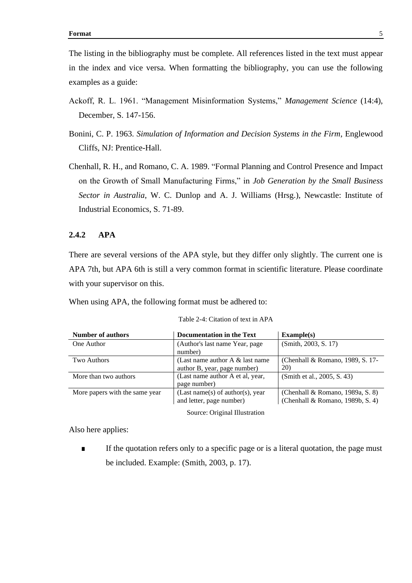The listing in the bibliography must be complete. All references listed in the text must appear in the index and vice versa. When formatting the bibliography, you can use the following examples as a guide:

- Ackoff, R. L. 1961. "Management Misinformation Systems," *Management Science* (14:4), December, S. 147-156.
- Bonini, C. P. 1963. *Simulation of Information and Decision Systems in the Firm*, Englewood Cliffs, NJ: Prentice-Hall.
- Chenhall, R. H., and Romano, C. A. 1989. "Formal Planning and Control Presence and Impact on the Growth of Small Manufacturing Firms," in *Job Generation by the Small Business Sector in Australia*, W. C. Dunlop and A. J. Williams (Hrsg.), Newcastle: Institute of Industrial Economics, S. 71-89.

#### <span id="page-11-0"></span>**2.4.2 APA**

There are several versions of the APA style, but they differ only slightly. The current one is APA 7th, but APA 6th is still a very common format in scientific literature. Please coordinate with your supervisor on this.

When using APA, the following format must be adhered to:

| <b>Number of authors</b>       | <b>Documentation in the Text</b>                                   | Example(s)                                                           |
|--------------------------------|--------------------------------------------------------------------|----------------------------------------------------------------------|
| One Author                     | (Author's last name Year, page<br>number)                          | (Smith, 2003, S. 17)                                                 |
| Two Authors                    | (Last name author $A \&$ last name<br>author B, year, page number) | (Chenhall & Romano, 1989, S. 17-<br>20)                              |
| More than two authors          | (Last name author A et al, year,<br>page number)                   | (Smith et al., 2005, S. 43)                                          |
| More papers with the same year | (Last name(s) of author(s), year<br>and letter, page number)       | (Chenhall & Romano, 1989a, S. 8)<br>(Chenhall & Romano, 1989b, S. 4) |

| Table 2-4: Citation of text in APA |  |  |  |
|------------------------------------|--|--|--|
|------------------------------------|--|--|--|

Source: Original Illustration

Also here applies:

■ If the quotation refers only to a specific page or is a literal quotation, the page must be included. Example: (Smith, 2003, p. 17).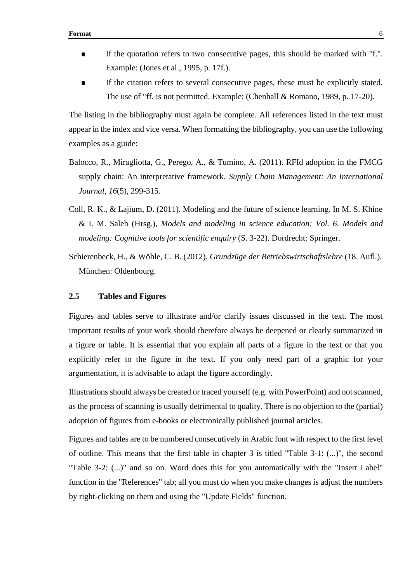- If the quotation refers to two consecutive pages, this should be marked with "f.". Example: (Jones et al., 1995, p. 17f.).
- If the citation refers to several consecutive pages, these must be explicitly stated. The use of "ff. is not permitted. Example: (Chenhall & Romano, 1989, p. 17-20).

The listing in the bibliography must again be complete. All references listed in the text must appear in the index and vice versa. When formatting the bibliography, you can use the following examples as a guide:

- Balocco, R., Miragliotta, G., Perego, A., & Tumino, A. (2011). RFId adoption in the FMCG supply chain: An interpretative framework. *Supply Chain Management: An International Journal, 16*(5), 299-315.
- Coll, R. K., & Lajium, D. (2011). Modeling and the future of science learning. In M. S. Khine & I. M. Saleh (Hrsg.), *Models and modeling in science education: Vol. 6. Models and modeling: Cognitive tools for scientific enquiry* (S. 3-22). Dordrecht: Springer.
- Schierenbeck, H., & Wöhle, C. B. (2012). *Grundzüge der Betriebswirtschaftslehre* (18. Aufl.). München: Oldenbourg.

#### **2.5 Tables and Figures**

Figures and tables serve to illustrate and/or clarify issues discussed in the text. The most important results of your work should therefore always be deepened or clearly summarized in a figure or table. It is essential that you explain all parts of a figure in the text or that you explicitly refer to the figure in the text. If you only need part of a graphic for your argumentation, it is advisable to adapt the figure accordingly.

Illustrations should always be created or traced yourself (e.g. with PowerPoint) and not scanned, as the process of scanning is usually detrimental to quality. There is no objection to the (partial) adoption of figures from e-books or electronically published journal articles.

Figures and tables are to be numbered consecutively in Arabic font with respect to the first level of outline. This means that the first table in chapter 3 is titled "Table 3-1: (...)", the second "Table 3-2: (...)" and so on. Word does this for you automatically with the "Insert Label" function in the "References" tab; all you must do when you make changes is adjust the numbers by right-clicking on them and using the "Update Fields" function.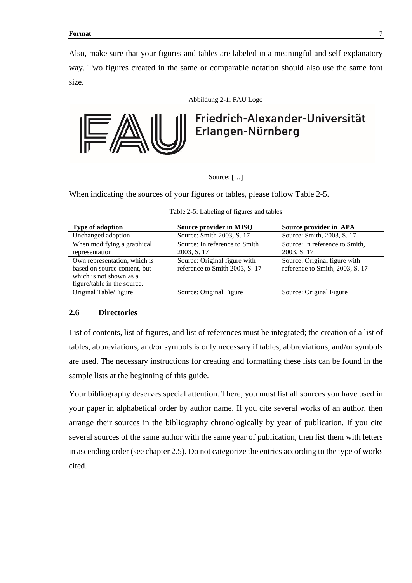Also, make sure that your figures and tables are labeled in a meaningful and self-explanatory way. Two figures created in the same or comparable notation should also use the same font size.

Abbildung 2-1: FAU Logo



Friedrich-Alexander-Universität Erlangen-Nürnberg

#### Source: [...]

When indicating the sources of your figures or tables, please follow Table 2-5.

| <b>Type of adoption</b>      | Source provider in MISQ        | Source provider in APA          |
|------------------------------|--------------------------------|---------------------------------|
| Unchanged adoption           | Source: Smith 2003, S. 17      | Source: Smith, 2003, S. 17      |
| When modifying a graphical   | Source: In reference to Smith  | Source: In reference to Smith,  |
| representation               | 2003, S. 17                    | 2003, S. 17                     |
| Own representation, which is | Source: Original figure with   | Source: Original figure with    |
| based on source content, but | reference to Smith 2003, S. 17 | reference to Smith, 2003, S. 17 |
| which is not shown as a      |                                |                                 |
| figure/table in the source.  |                                |                                 |
| Original Table/Figure        | Source: Original Figure        | Source: Original Figure         |

Table 2-5: Labeling of figures and tables

#### **2.6 Directories**

List of contents, list of figures, and list of references must be integrated; the creation of a list of tables, abbreviations, and/or symbols is only necessary if tables, abbreviations, and/or symbols are used. The necessary instructions for creating and formatting these lists can be found in the sample lists at the beginning of this guide.

Your bibliography deserves special attention. There, you must list all sources you have used in your paper in alphabetical order by author name. If you cite several works of an author, then arrange their sources in the bibliography chronologically by year of publication. If you cite several sources of the same author with the same year of publication, then list them with letters in ascending order (see chapter 2.5). Do not categorize the entries according to the type of works cited.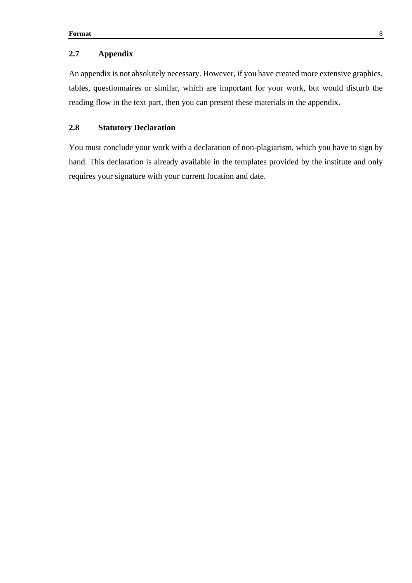### **2.7 Appendix**

An appendix is not absolutely necessary. However, if you have created more extensive graphics, tables, questionnaires or similar, which are important for your work, but would disturb the reading flow in the text part, then you can present these materials in the appendix.

#### **2.8 Statutory Declaration**

You must conclude your work with a declaration of non-plagiarism, which you have to sign by hand. This declaration is already available in the templates provided by the institute and only requires your signature with your current location and date.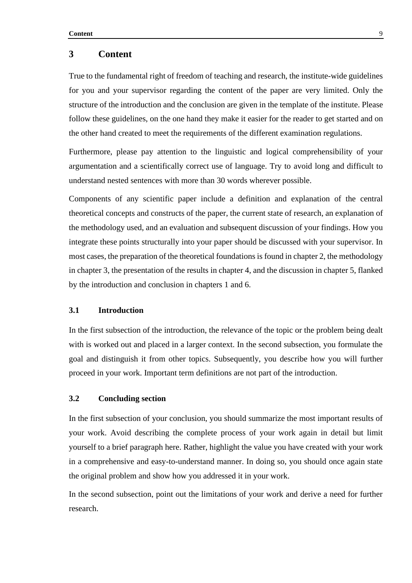# **3 Content**

True to the fundamental right of freedom of teaching and research, the institute-wide guidelines for you and your supervisor regarding the content of the paper are very limited. Only the structure of the introduction and the conclusion are given in the template of the institute. Please follow these guidelines, on the one hand they make it easier for the reader to get started and on the other hand created to meet the requirements of the different examination regulations.

Furthermore, please pay attention to the linguistic and logical comprehensibility of your argumentation and a scientifically correct use of language. Try to avoid long and difficult to understand nested sentences with more than 30 words wherever possible.

Components of any scientific paper include a definition and explanation of the central theoretical concepts and constructs of the paper, the current state of research, an explanation of the methodology used, and an evaluation and subsequent discussion of your findings. How you integrate these points structurally into your paper should be discussed with your supervisor. In most cases, the preparation of the theoretical foundations is found in chapter 2, the methodology in chapter 3, the presentation of the results in chapter 4, and the discussion in chapter 5, flanked by the introduction and conclusion in chapters 1 and 6.

#### **3.1 Introduction**

In the first subsection of the introduction, the relevance of the topic or the problem being dealt with is worked out and placed in a larger context. In the second subsection, you formulate the goal and distinguish it from other topics. Subsequently, you describe how you will further proceed in your work. Important term definitions are not part of the introduction.

#### **3.2 Concluding section**

In the first subsection of your conclusion, you should summarize the most important results of your work. Avoid describing the complete process of your work again in detail but limit yourself to a brief paragraph here. Rather, highlight the value you have created with your work in a comprehensive and easy-to-understand manner. In doing so, you should once again state the original problem and show how you addressed it in your work.

In the second subsection, point out the limitations of your work and derive a need for further research.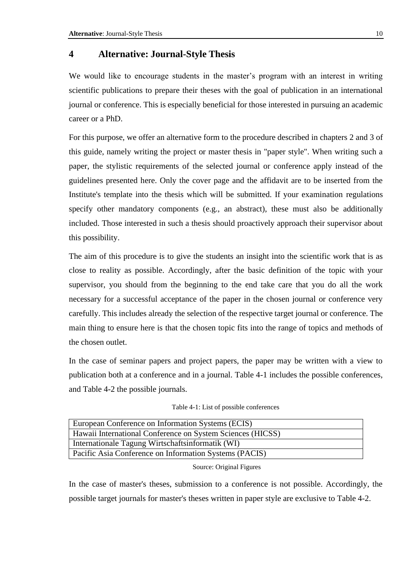# **4 Alternative: Journal-Style Thesis**

We would like to encourage students in the master's program with an interest in writing scientific publications to prepare their theses with the goal of publication in an international journal or conference. This is especially beneficial for those interested in pursuing an academic career or a PhD.

For this purpose, we offer an alternative form to the procedure described in chapters 2 and 3 of this guide, namely writing the project or master thesis in "paper style". When writing such a paper, the stylistic requirements of the selected journal or conference apply instead of the guidelines presented here. Only the cover page and the affidavit are to be inserted from the Institute's template into the thesis which will be submitted. If your examination regulations specify other mandatory components (e.g., an abstract), these must also be additionally included. Those interested in such a thesis should proactively approach their supervisor about this possibility.

The aim of this procedure is to give the students an insight into the scientific work that is as close to reality as possible. Accordingly, after the basic definition of the topic with your supervisor, you should from the beginning to the end take care that you do all the work necessary for a successful acceptance of the paper in the chosen journal or conference very carefully. This includes already the selection of the respective target journal or conference. The main thing to ensure here is that the chosen topic fits into the range of topics and methods of the chosen outlet.

In the case of seminar papers and project papers, the paper may be written with a view to publication both at a conference and in a journal. Table 4-1 includes the possible conferences, and Table 4-2 the possible journals.

#### Table 4-1: List of possible conferences

| European Conference on Information Systems (ECIS)          |
|------------------------------------------------------------|
| Hawaii International Conference on System Sciences (HICSS) |
| Internationale Tagung Wirtschaftsinformatik (WI)           |
| Pacific Asia Conference on Information Systems (PACIS)     |

Source: Original Figures

In the case of master's theses, submission to a conference is not possible. Accordingly, the possible target journals for master's theses written in paper style are exclusive to Table 4-2.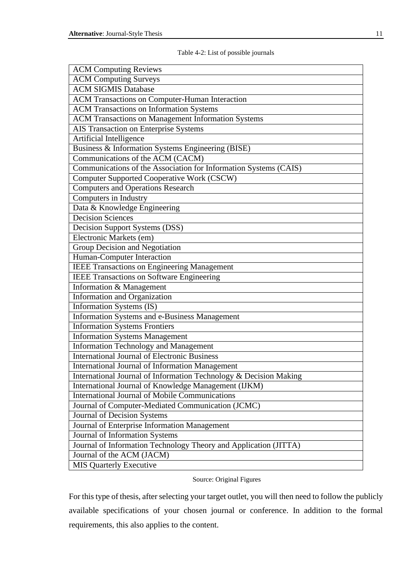| <b>ACM Computing Reviews</b>                                      |
|-------------------------------------------------------------------|
| <b>ACM Computing Surveys</b>                                      |
| <b>ACM SIGMIS Database</b>                                        |
| <b>ACM Transactions on Computer-Human Interaction</b>             |
| <b>ACM Transactions on Information Systems</b>                    |
| <b>ACM Transactions on Management Information Systems</b>         |
| AIS Transaction on Enterprise Systems                             |
| Artificial Intelligence                                           |
| Business & Information Systems Engineering (BISE)                 |
| Communications of the ACM (CACM)                                  |
| Communications of the Association for Information Systems (CAIS)  |
| Computer Supported Cooperative Work (CSCW)                        |
| <b>Computers and Operations Research</b>                          |
| Computers in Industry                                             |
| Data & Knowledge Engineering                                      |
| <b>Decision Sciences</b>                                          |
| Decision Support Systems (DSS)                                    |
| Electronic Markets (em)                                           |
| Group Decision and Negotiation                                    |
| Human-Computer Interaction                                        |
| <b>IEEE Transactions on Engineering Management</b>                |
| <b>IEEE Transactions on Software Engineering</b>                  |
| Information & Management                                          |
| <b>Information and Organization</b>                               |
| Information Systems (IS)                                          |
| Information Systems and e-Business Management                     |
| <b>Information Systems Frontiers</b>                              |
| <b>Information Systems Management</b>                             |
| <b>Information Technology and Management</b>                      |
| <b>International Journal of Electronic Business</b>               |
| <b>International Journal of Information Management</b>            |
| International Journal of Information Technology & Decision Making |
| International Journal of Knowledge Management (IJKM)              |
| <b>International Journal of Mobile Communications</b>             |
| Journal of Computer-Mediated Communication (JCMC)                 |
| Journal of Decision Systems                                       |
| Journal of Enterprise Information Management                      |
| Journal of Information Systems                                    |
| Journal of Information Technology Theory and Application (JITTA)  |
| Journal of the ACM (JACM)                                         |
| <b>MIS Quarterly Executive</b>                                    |

Table 4-2: List of possible journals

#### Source: Original Figures

For thistype of thesis, after selecting your target outlet, you will then need to follow the publicly available specifications of your chosen journal or conference. In addition to the formal requirements, this also applies to the content.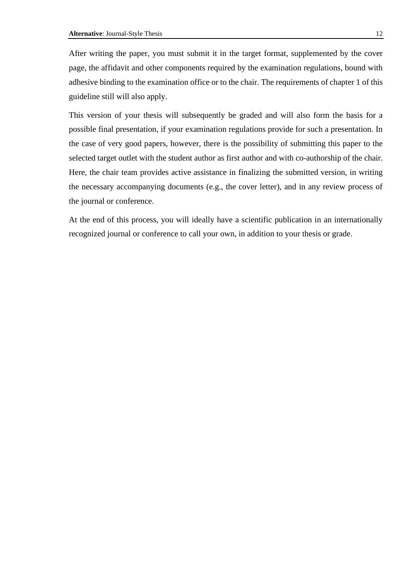After writing the paper, you must submit it in the target format, supplemented by the cover page, the affidavit and other components required by the examination regulations, bound with adhesive binding to the examination office or to the chair. The requirements of chapter 1 of this guideline still will also apply.

This version of your thesis will subsequently be graded and will also form the basis for a possible final presentation, if your examination regulations provide for such a presentation. In the case of very good papers, however, there is the possibility of submitting this paper to the selected target outlet with the student author as first author and with co-authorship of the chair. Here, the chair team provides active assistance in finalizing the submitted version, in writing the necessary accompanying documents (e.g., the cover letter), and in any review process of the journal or conference.

At the end of this process, you will ideally have a scientific publication in an internationally recognized journal or conference to call your own, in addition to your thesis or grade.